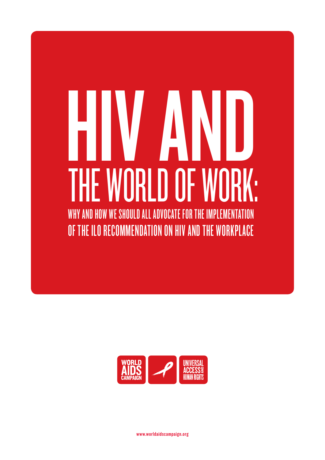# HIV AND THE WORLD OF WORK: WHY AND HOW WE SHOULD ALL ADVOCATE FOR THE IMPLEMENTATION OF THE ILO RECOMMENDATION ON HIV AND THE WORKPLACE



www.worldaidscampaign.org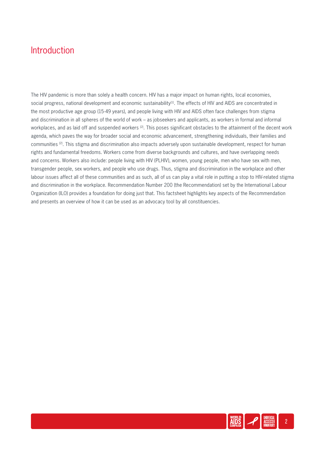### **Introduction**

The HIV pandemic is more than solely a health concern. HIV has a major impact on human rights, local economies, social progress, national development and economic sustainability<sup>[1]</sup>. The effects of HIV and AIDS are concentrated in the most productive age group (15-49 years), and people living with HIV and AIDS often face challenges from stigma and discrimination in all spheres of the world of work – as jobseekers and applicants, as workers in formal and informal workplaces, and as laid off and suspended workers [2]. This poses significant obstacles to the attainment of the decent work agenda, which paves the way for broader social and economic advancement, strengthening individuals, their families and communities [2]. This stigma and discrimination also impacts adversely upon sustainable development, respect for human rights and fundamental freedoms. Workers come from diverse backgrounds and cultures, and have overlapping needs and concerns. Workers also include: people living with HIV (PLHIV), women, young people, men who have sex with men, transgender people, sex workers, and people who use drugs. Thus, stigma and discrimination in the workplace and other labour issues affect all of these communities and as such, all of us can play a vital role in putting a stop to HIV-related stigma and discrimination in the workplace. Recommendation Number 200 (the Recommendation) set by the International Labour Organization (ILO) provides a foundation for doing just that. This factsheet highlights key aspects of the Recommendation and presents an overview of how it can be used as an advocacy tool by all constituencies.

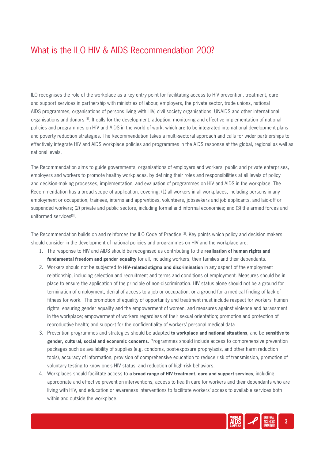## What is the ILO HIV & AIDS Recommendation 200?

ILO recognises the role of the workplace as a key entry point for facilitating access to HIV prevention, treatment, care and support services in partnership with ministries of labour, employers, the private sector, trade unions, national AIDS programmes, organisations of persons living with HIV, civil society organisations, UNAIDS and other international organisations and donors [3]. It calls for the development, adoption, monitoring and effective implementation of national policies and programmes on HIV and AIDS in the world of work, which are to be integrated into national development plans and poverty reduction strategies. The Recommendation takes a multi-sectoral approach and calls for wider partnerships to effectively integrate HIV and AIDS workplace policies and programmes in the AIDS response at the global, regional as well as national levels.

The Recommendation aims to guide governments, organisations of employers and workers, public and private enterprises, employers and workers to promote healthy workplaces, by defining their roles and responsibilities at all levels of policy and decision-making processes, implementation, and evaluation of programmes on HIV and AIDS in the workplace. The Recommendation has a broad scope of application, covering: (1) all workers in all workplaces, including persons in any employment or occupation, trainees, interns and apprentices, volunteers, jobseekers and job applicants, and laid-off or suspended workers; (2) private and public sectors, including formal and informal economies; and (3) the armed forces and uniformed services<sup>[3]</sup>.

The Recommendation builds on and reinforces the ILO Code of Practice [2]. Key points which policy and decision makers should consider in the development of national policies and programmes on HIV and the workplace are:

- 1. The response to HIV and AIDS should be recognised as contributing to the **realisation of human rights and fundamental freedom and gender equality** for all, including workers, their families and their dependants.
- 2. Workers should not be subjected to **HIV-related stigma and discrimination** in any aspect of the employment relationship, including selection and recruitment and terms and conditions of employment. Measures should be in place to ensure the application of the principle of non-discrimination. HIV status alone should not be a ground for termination of employment, denial of access to a job or occupation, or a ground for a medical finding of lack of fitness for work. The promotion of equality of opportunity and treatment must include respect for workers' human rights; ensuring gender equality and the empowerment of women, and measures against violence and harassment in the workplace; empowerment of workers regardless of their sexual orientation; promotion and protection of reproductive health; and support for the confidentiality of workers' personal medical data.
- 3. Prevention programmes and strategies should be adapted **to workplace and national situations**, and be **sensitive to gender, cultural, social and economic concerns**. Programmes should include access to comprehensive prevention packages such as availability of supplies (e.g. condoms, post-exposure prophylaxis, and other harm reduction tools), accuracy of information, provision of comprehensive education to reduce risk of transmission, promotion of voluntary testing to know one's HIV status, and reduction of high-risk behaviors.
- 4. Workplaces should facilitate access to **a broad range of HIV treatment, care and support services**, including appropriate and effective prevention interventions, access to health care for workers and their dependants who are living with HIV, and education or awareness interventions to facilitate workers' access to available services both within and outside the workplace.

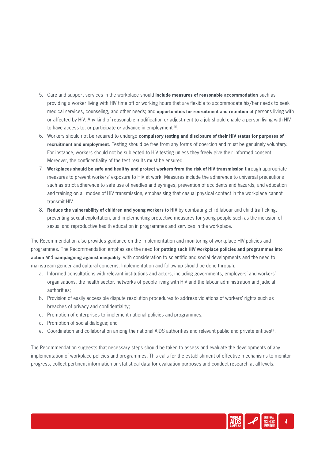- 5. Care and support services in the workplace should **include measures of reasonable accommodation** such as providing a worker living with HIV time off or working hours that are flexible to accommodate his/her needs to seek medical services, counseling, and other needs; and **opportunities for recruitment and retention of** persons living with or affected by HIV. Any kind of reasonable modification or adjustment to a job should enable a person living with HIV to have access to, or participate or advance in employment [4].
- 6. Workers should not be required to undergo **compulsory testing and disclosure of their HIV status for purposes of recruitment and employment**. Testing should be free from any forms of coercion and must be genuinely voluntary. For instance, workers should not be subjected to HIV testing unless they freely give their informed consent. Moreover, the confidentiality of the test results must be ensured.
- 7. **Workplaces should be safe and healthy and protect workers from the risk of HIV transmission** through appropriate measures to prevent workers' exposure to HIV at work. Measures include the adherence to universal precautions such as strict adherence to safe use of needles and syringes, prevention of accidents and hazards, and education and training on all modes of HIV transmission, emphasising that casual physical contact in the workplace cannot transmit HIV.
- 8. **Reduce the vulnerability of children and young workers to HIV** by combating child labour and child trafficking, preventing sexual exploitation, and implementing protective measures for young people such as the inclusion of sexual and reproductive health education in programmes and services in the workplace.

The Recommendation also provides guidance on the implementation and monitoring of workplace HIV policies and programmes. The Recommendation emphasises the need for **putting such HIV workplace policies and programmes into action** and **campaigning against inequality**, with consideration to scientific and social developments and the need to mainstream gender and cultural concerns. Implementation and follow-up should be done through:

- a. Informed consultations with relevant institutions and actors, including governments, employers' and workers' organisations, the health sector, networks of people living with HIV and the labour administration and judicial authorities;
- b. Provision of easily accessible dispute resolution procedures to address violations of workers' rights such as breaches of privacy and confidentiality;
- c. Promotion of enterprises to implement national policies and programmes;
- d. Promotion of social dialogue; and
- e. Coordination and collaboration among the national AIDS authorities and relevant public and private entities<sup>[3]</sup>.

The Recommendation suggests that necessary steps should be taken to assess and evaluate the developments of any implementation of workplace policies and programmes. This calls for the establishment of effective mechanisms to monitor progress, collect pertinent information or statistical data for evaluation purposes and conduct research at all levels.

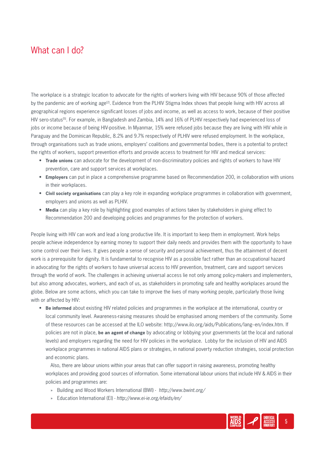#### What can I do?

The workplace is a strategic location to advocate for the rights of workers living with HIV because 90% of those affected by the pandemic are of working age<sup>[2]</sup>. Evidence from the PLHIV Stigma Index shows that people living with HIV across all geographical regions experience significant losses of jobs and income, as well as access to work, because of their positive HIV sero-status<sup>[5]</sup>. For example, in Bangladesh and Zambia, 14% and 16% of PLHIV respectively had experienced loss of jobs or income because of being HIV-positive. In Myanmar, 15% were refused jobs because they are living with HIV while in Paraguay and the Dominican Republic, 8.2% and 9.7% respectively of PLHIV were refused employment. In the workplace, through organisations such as trade unions, employers' coalitions and governmental bodies, there is a potential to protect the rights of workers, support prevention efforts and provide access to treatment for HIV and medical services:

- **Trade unions** can advocate for the development of non-discriminatory policies and rights of workers to have HIV prevention, care and support services at workplaces.
- **Employers** can put in place a comprehensive programme based on Recommendation 200, in collaboration with unions in their workplaces.
- **Civil society organisations** can play a key role in expanding workplace programmes in collaboration with government, employers and unions as well as PLHIV.
- **Media** can play a key role by highlighting good examples of actions taken by stakeholders in giving effect to Recommendation 200 and developing policies and programmes for the protection of workers.

People living with HIV can work and lead a long productive life. It is important to keep them in employment. Work helps people achieve independence by earning money to support their daily needs and provides them with the opportunity to have some control over their lives. It gives people a sense of security and personal achievement, thus the attainment of decent work is a prerequisite for dignity. It is fundamental to recognise HIV as a possible fact rather than an occupational hazard in advocating for the rights of workers to have universal access to HIV prevention, treatment, care and support services through the world of work. The challenges in achieving universal access lie not only among policy-makers and implementers, but also among advocates, workers, and each of us, as stakeholders in promoting safe and healthy workplaces around the globe. Below are some actions, which you can take to improve the lives of many working people, particularly those living with or affected by HIV:

• **Be informed** about existing HIV related policies and programmes in the workplace at the international, country or local community level. Awareness-raising measures should be emphasised among members of the community. Some of these resources can be accessed at the ILO website: http://www.ilo.org/aids/Publications/lang--en/index.htm. If policies are not in place, **be an agent of change** by advocating or lobbying your governments (at the local and national levels) and employers regarding the need for HIV policies in the workplace. Lobby for the inclusion of HIV and AIDS workplace programmes in national AIDS plans or strategies, in national poverty reduction strategies, social protection and economic plans.

Also, there are labour unions within your areas that can offer support in raising awareness, promoting healthy workplaces and providing good sources of information. Some international labour unions that include HIV & AIDS in their policies and programmes are:

- » Building and Wood Workers International (BWI) - *http://www.bwint.org/*
- » Education International (EI) *http://www.ei-ie.org/efaids/en/*

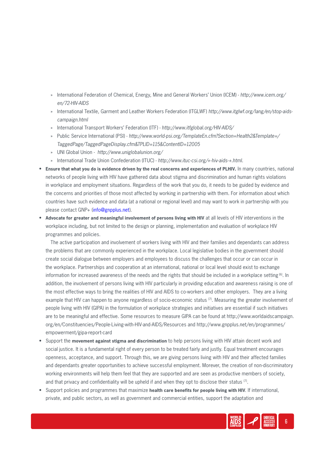- » International Federation of Chemical, Energy, Mine and General Workers' Union (ICEM) *http://www.icem.org/ en/72-HIV-AIDS*
- » International Textile, Garment and Leather Workers Federation (ITGLWF) *http://www.itglwf.org/lang/en/stop-aidscampaign.html*
- » International Transport Workers' Federation (ITF) *http://www.itfglobal.org/HIV-AIDS/*
- » Public Service International (PSI) *http://www.world-psi.org/TemplateEn.cfm?Section=Health2&Template=/ TaggedPage/TaggedPageDisplay.cfm&TPLID=115&ContentID=12005*
- » UNI Global Union *http://www.uniglobalunion.org/*
- » International Trade Union Confederation (ITUC) *http://www.ituc-csi.org/+-hiv-aids-+.html.*
- **Ensure that what you do is evidence driven by the real concerns and experiences of PLHIV.** In many countries, national networks of people living with HIV have gathered data about stigma and discrimination and human rights violations in workplace and employment situations. Regardless of the work that you do, it needs to be guided by evidence and the concerns and priorities of those most affected by working in partnership with them. For information about which countries have such evidence and data (at a national or regional level) and may want to work in partnership with you please contact GNP+ (info@gnpplus.net).
- **Advocate for greater and meaningful involvement of persons living with HIV** at all levels of HIV interventions in the workplace including, but not limited to the design or planning, implementation and evaluation of workplace HIV programmes and policies.

The active participation and involvement of workers living with HIV and their families and dependants can address the problems that are commonly experienced in the workplace. Local legislative bodies in the government should create social dialogue between employers and employees to discuss the challenges that occur or can occur in the workplace. Partnerships and cooperation at an international, national or local level should exist to exchange information for increased awareness of the needs and the rights that should be included in a workplace setting [6]. In addition, the involvement of persons living with HIV particularly in providing education and awareness raising is one of the most effective ways to bring the realities of HIV and AIDS to co-workers and other employers. They are a living example that HIV can happen to anyone regardless of socio-economic status  $[7]$ . Measuring the greater involvement of people living with HIV (GIPA) in the formulation of workplace strategies and initiatives are essential if such initiatives are to be meaningful and effective. Some resources to measure GIPA can be found at http://www.worldaidscampaign. org/en/Constituencies/People-Living-with-HIV-and-AIDS/Resources and http://www.gnpplus.net/en/programmes/ empowerment/gipa-report-card

- Support the **movement against stigma and discrimination** to help persons living with HIV attain decent work and social justice. It is a fundamental right of every person to be treated fairly and justly. Equal treatment encourages openness, acceptance, and support. Through this, we are giving persons living with HIV and their affected families and dependants greater opportunities to achieve successful employment. Morever, the creation of non-discriminatory working environments will help them feel that they are supported and are seen as productive members of society, and that privacy and confidentiality will be upheld if and when they opt to disclose their status [7].
- Support policies and programmes that maximize **health care benefits for people living with HIV**. If international, private, and public sectors, as well as government and commercial entities, support the adaptation and

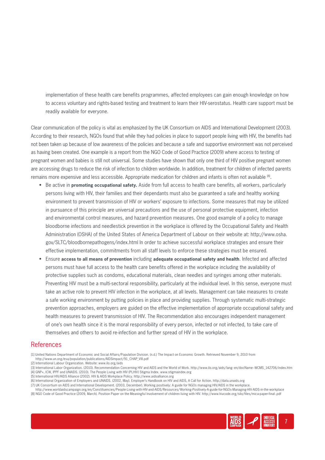implementation of these health care benefits programmes, affected employees can gain enough knowledge on how to access voluntary and rights-based testing and treatment to learn their HIV-serostatus. Health care support must be readily available for everyone.

Clear communication of the policy is vital as emphasized by the UK Consortium on AIDS and International Development (2003). According to their research, NGOs found that while they had policies in place to support people living with HIV, the benefits had not been taken up because of low awareness of the policies and because a safe and supportive environment was not perceived as having been created. One example is a report from the NGO Code of Good Practice (2009) where access to testing of pregnant women and babies is still not universal. Some studies have shown that only one third of HIV positive pregnant women are accessing drugs to reduce the risk of infection to children worldwide. In addition, treatment for children of infected parents remains more expensive and less accessible. Appropriate medication for children and infants is often not available [8].

- Be active in **promoting occupational safety.** Aside from full access to health care benefits, all workers, particularly persons living with HIV, their families and their dependants must also be guaranteed a safe and healthy working environment to prevent transmission of HIV or workers' exposure to infections. Some measures that may be utilized in pursuance of this principle are universal precautions and the use of personal protective equipment, infection and environmental control measures, and hazard prevention measures. One good example of a policy to manage bloodborne infections and needlestick prevention in the workplace is offered by the Occupational Safety and Health Administration (OSHA) of the United States of America Department of Labour on their website at: http://www.osha. gov/SLTC/bloodbornepathogens/index.html In order to achieve successful workplace strategies and ensure their effective implementation, commitments from all staff levels to enforce these strategies must be ensured.
- Ensure **access to all means of prevention** including **adequate occupational safety and health**. Infected and affected persons must have full access to the health care benefits offered in the workplace including the availability of protective supplies such as condoms, educational materials, clean needles and syringes among other materials. Preventing HIV must be a multi-sectoral responsibility, particularly at the individual level. In this sense, everyone must take an active role to prevent HIV infection in the workplace, at all levels. Management can take measures to create a safe working environment by putting policies in place and providing supplies. Through systematic multi-strategic prevention approaches, employers are guided on the effective implementation of appropriate occupational safety and health measures to prevent transmission of HIV. The Recommendation also encourages independent management of one's own health since it is the moral responsibility of every person, infected or not infected, to take care of themselves and others to avoid re-infection and further spread of HIV in the workplace.

#### References

- http://www.un.org/esa/population/publications/AIDSimpact/91\_CHAP\_VIII.pdf [2] International Labour Organization. Website: www.ilo.org/aids
- [3] International Labor Organization. (2010). Recommendation Concerning HIV and AIDS and the World of Work. http://www.ilo.org/aids/lang--en/docName--WCMS\_142706/index.htm [4] GNP+, ICW, IPPF and UNAIDS. (2010). The People Living with HIV (PLHIV) Stigma Index. www.stigmaindex.org
- [5] International HIV/AIDS Alliance (2002). HIV & AIDS Workplace Policy. http://www.aidsalliance.org
- [6] International Organization of Employers and UNAIDS. (2002, May). Employer's Handbook on HIV and AIDS, A Call for Action. http://data.unaids.org
- [7] UK Consortium on AIDS and International Development. (2003, December). Working positively: A guide for NGOs managing HIV/AIDS in the workplace.
- http://www.worldaidscampaign.org/en/Constituencies/People-Living-with-HIV-and-AIDS/Resources/Working-Positively-A-guide-for-NGOs-Managing-HIV-AIDS-in-the-workplace

[8] NGO Code of Good Practice (2009, March). Position Paper on the Meaningful Involvement of children living with HIV. http://www.hivcode.org/silo/files/mica-paper-final-.pdf



<sup>[1]</sup> United Nations Department of Economic and Social Affairs/Population Division. (n.d.) The Impact on Economic Growth. Retrieved November 9, 2010 from